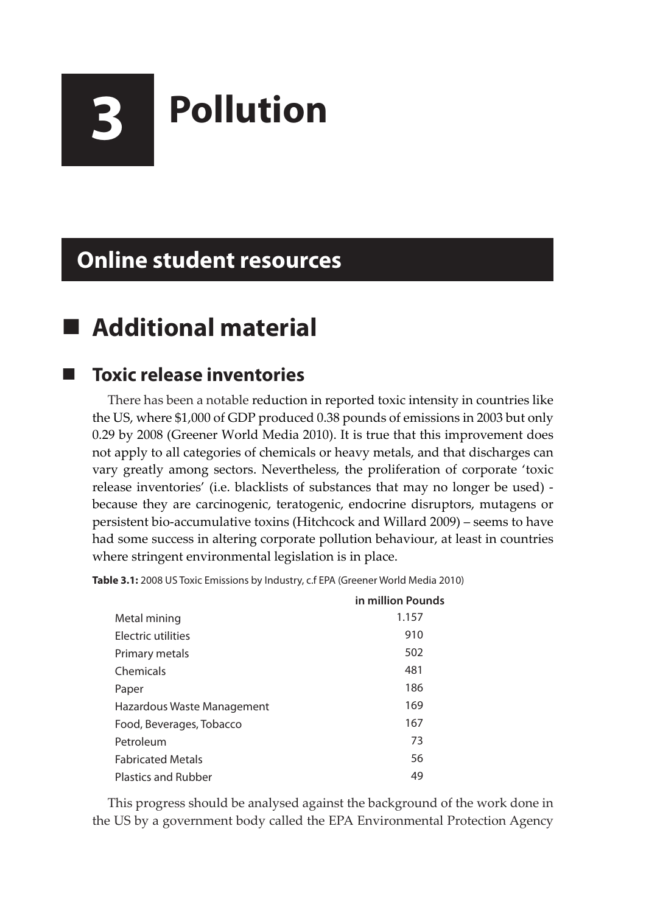

# **3 Pollution**

# **Online student resources**

# **Additional material**

### **Toxic release inventories**

There has been a notable reduction in reported toxic intensity in countries like the US, where \$1,000 of GDP produced 0.38 pounds of emissions in 2003 but only 0.29 by 2008 (Greener World Media 2010). It is true that this improvement does not apply to all categories of chemicals or heavy metals, and that discharges can vary greatly among sectors. Nevertheless, the proliferation of corporate 'toxic release inventories' (i.e. blacklists of substances that may no longer be used) because they are carcinogenic, teratogenic, endocrine disruptors, mutagens or persistent bio-accumulative toxins (Hitchcock and Willard 2009) – seems to have had some success in altering corporate pollution behaviour, at least in countries where stringent environmental legislation is in place.

**Table 3.1:** 2008 US Toxic Emissions by Industry, c.f EPA (Greener World Media 2010)

|                            | in million Pounds |
|----------------------------|-------------------|
| Metal mining               | 1.157             |
| <b>Electric utilities</b>  | 910               |
| Primary metals             | 502               |
| Chemicals                  | 481               |
| Paper                      | 186               |
| Hazardous Waste Management | 169               |
| Food, Beverages, Tobacco   | 167               |
| Petroleum                  | 73                |
| <b>Fabricated Metals</b>   | 56                |
| <b>Plastics and Rubber</b> | 49                |

This progress should be analysed against the background of the work done in the US by a government body called the EPA Environmental Protection Agency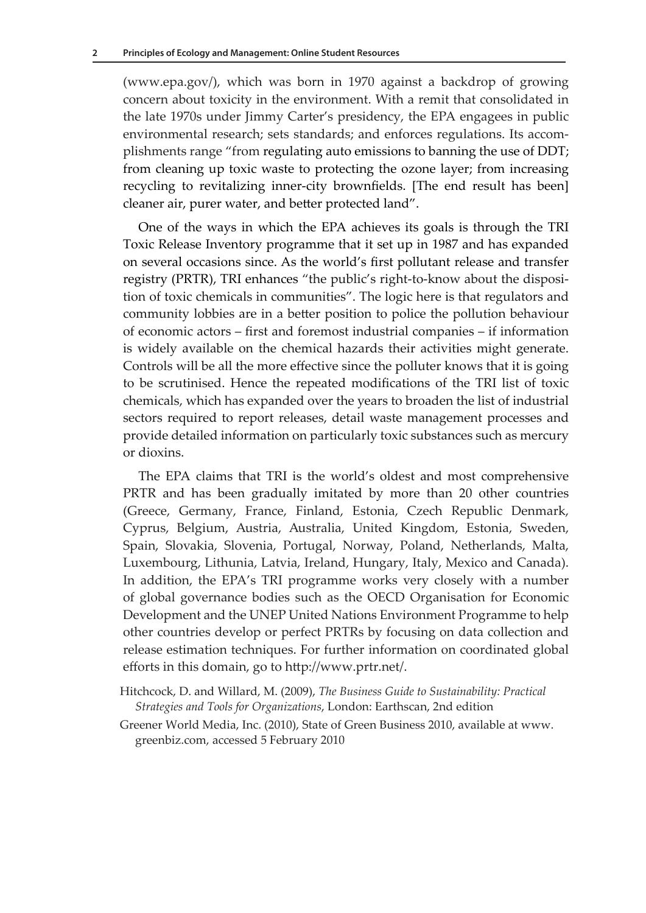(www.epa.gov/), which was born in 1970 against a backdrop of growing concern about toxicity in the environment. With a remit that consolidated in the late 1970s under Jimmy Carter's presidency, the EPA engagees in public environmental research; sets standards; and enforces regulations. Its accomplishments range "from regulating auto emissions to banning the use of DDT; from cleaning up toxic waste to protecting the ozone layer; from increasing recycling to revitalizing inner-city brownfields. [The end result has been] cleaner air, purer water, and better protected land".

One of the ways in which the EPA achieves its goals is through the TRI Toxic Release Inventory programme that it set up in 1987 and has expanded on several occasions since. As the world's first pollutant release and transfer registry (PRTR), TRI enhances "the public's right-to-know about the disposition of toxic chemicals in communities". The logic here is that regulators and community lobbies are in a better position to police the pollution behaviour of economic actors – first and foremost industrial companies – if information is widely available on the chemical hazards their activities might generate. Controls will be all the more effective since the polluter knows that it is going to be scrutinised. Hence the repeated modifications of the TRI list of toxic chemicals, which has expanded over the years to broaden the list of industrial sectors required to report releases, detail waste management processes and provide detailed information on particularly toxic substances such as mercury or dioxins.

The EPA claims that TRI is the world's oldest and most comprehensive PRTR and has been gradually imitated by more than 20 other countries (Greece, Germany, France, Finland, Estonia, Czech Republic Denmark, Cyprus, Belgium, Austria, Australia, United Kingdom, Estonia, Sweden, Spain, Slovakia, Slovenia, Portugal, Norway, Poland, Netherlands, Malta, Luxembourg, Lithunia, Latvia, Ireland, Hungary, Italy, Mexico and Canada). In addition, the EPA's TRI programme works very closely with a number of global governance bodies such as the OECD Organisation for Economic Development and the UNEP United Nations Environment Programme to help other countries develop or perfect PRTRs by focusing on data collection and release estimation techniques. For further information on coordinated global efforts in this domain, go to http://www.prtr.net/.

- Hitchcock, D. and Willard, M. (2009), *The Business Guide to Sustainability: Practical Strategies and Tools for Organizations*, London: Earthscan, 2nd edition
- Greener World Media, Inc. (2010), State of Green Business 2010, available at www. greenbiz.com, accessed 5 February 2010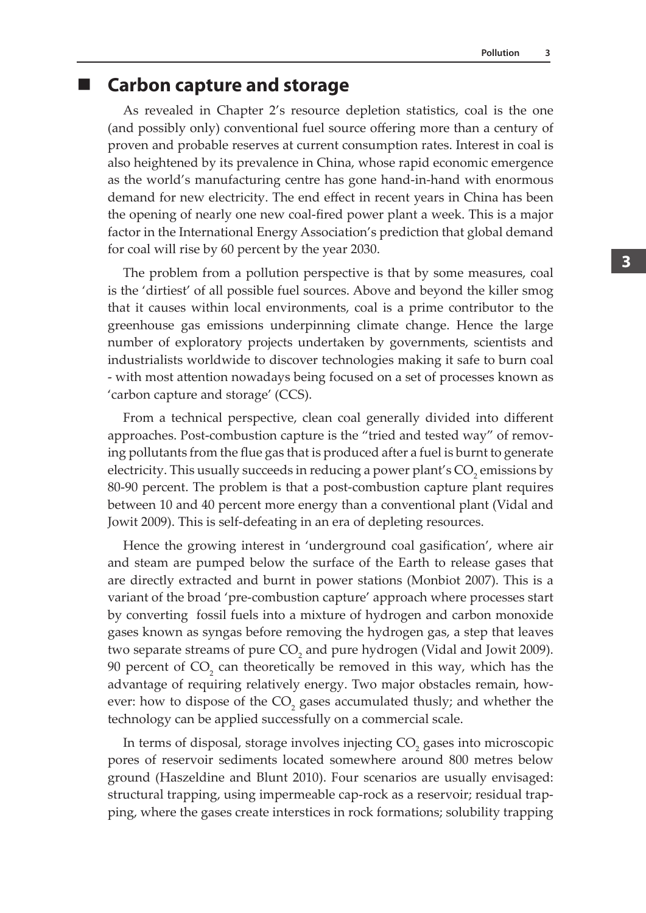#### **Carbon capture and storage**

As revealed in Chapter 2's resource depletion statistics, coal is the one (and possibly only) conventional fuel source offering more than a century of proven and probable reserves at current consumption rates. Interest in coal is also heightened by its prevalence in China, whose rapid economic emergence as the world's manufacturing centre has gone hand-in-hand with enormous demand for new electricity. The end effect in recent years in China has been the opening of nearly one new coal-fired power plant a week. This is a major factor in the International Energy Association's prediction that global demand for coal will rise by 60 percent by the year 2030.

The problem from a pollution perspective is that by some measures, coal is the 'dirtiest' of all possible fuel sources. Above and beyond the killer smog that it causes within local environments, coal is a prime contributor to the greenhouse gas emissions underpinning climate change. Hence the large number of exploratory projects undertaken by governments, scientists and industrialists worldwide to discover technologies making it safe to burn coal - with most attention nowadays being focused on a set of processes known as 'carbon capture and storage' (CCS).

From a technical perspective, clean coal generally divided into different approaches. Post-combustion capture is the "tried and tested way" of removing pollutants from the flue gas that is produced after a fuel is burnt to generate electricity. This usually succeeds in reducing a power plant's  $\mathrm{CO}_2$  emissions by 80-90 percent. The problem is that a post-combustion capture plant requires between 10 and 40 percent more energy than a conventional plant (Vidal and Jowit 2009). This is self-defeating in an era of depleting resources.

Hence the growing interest in 'underground coal gasification', where air and steam are pumped below the surface of the Earth to release gases that are directly extracted and burnt in power stations (Monbiot 2007). This is a variant of the broad 'pre-combustion capture' approach where processes start by converting fossil fuels into a mixture of hydrogen and carbon monoxide gases known as syngas before removing the hydrogen gas, a step that leaves two separate streams of pure  $CO<sub>2</sub>$  and pure hydrogen (Vidal and Jowit 2009). 90 percent of  $CO_2$  can theoretically be removed in this way, which has the advantage of requiring relatively energy. Two major obstacles remain, however: how to dispose of the  $CO_2$  gases accumulated thusly; and whether the technology can be applied successfully on a commercial scale.

In terms of disposal, storage involves injecting  $\mathrm{CO}_2$  gases into microscopic pores of reservoir sediments located somewhere around 800 metres below ground (Haszeldine and Blunt 2010). Four scenarios are usually envisaged: structural trapping, using impermeable cap-rock as a reservoir; residual trapping, where the gases create interstices in rock formations; solubility trapping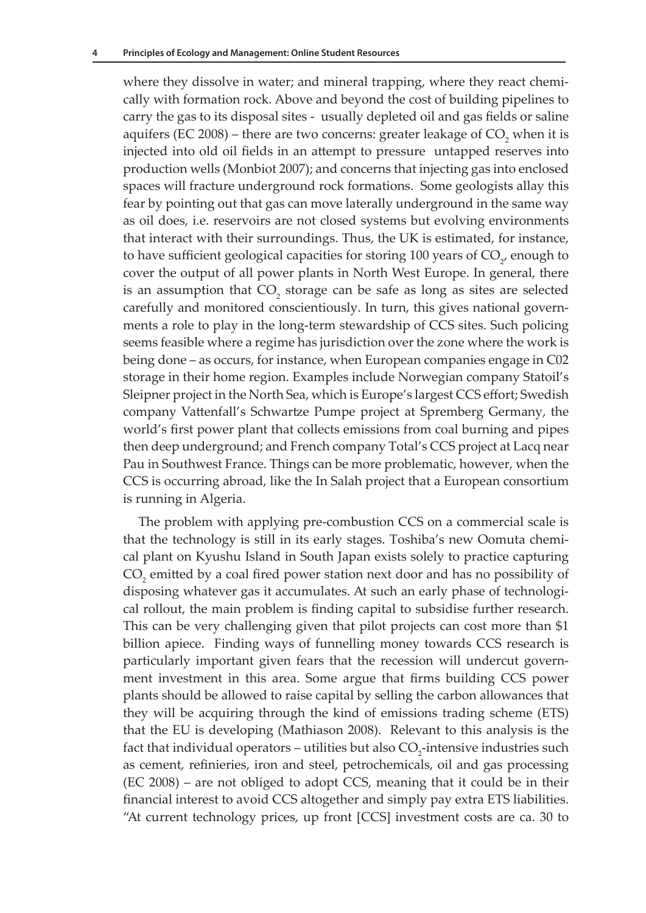where they dissolve in water; and mineral trapping, where they react chemically with formation rock. Above and beyond the cost of building pipelines to carry the gas to its disposal sites - usually depleted oil and gas fields or saline aquifers (EC 2008) – there are two concerns: greater leakage of  $CO_2$  when it is injected into old oil fields in an attempt to pressure untapped reserves into production wells (Monbiot 2007); and concerns that injecting gas into enclosed spaces will fracture underground rock formations. Some geologists allay this fear by pointing out that gas can move laterally underground in the same way as oil does, i.e. reservoirs are not closed systems but evolving environments that interact with their surroundings. Thus, the UK is estimated, for instance, to have sufficient geological capacities for storing  $100$  years of  $\mathrm{CO}_{2^{\prime}}$  enough to cover the output of all power plants in North West Europe. In general, there is an assumption that  $CO_2$  storage can be safe as long as sites are selected carefully and monitored conscientiously. In turn, this gives national governments a role to play in the long-term stewardship of CCS sites. Such policing seems feasible where a regime has jurisdiction over the zone where the work is being done – as occurs, for instance, when European companies engage in C02 storage in their home region. Examples include Norwegian company Statoil's Sleipner project in the North Sea, which is Europe's largest CCS effort; Swedish company Vattenfall's Schwartze Pumpe project at Spremberg Germany, the world's first power plant that collects emissions from coal burning and pipes then deep underground; and French company Total's CCS project at Lacq near Pau in Southwest France. Things can be more problematic, however, when the CCS is occurring abroad, like the In Salah project that a European consortium is running in Algeria.

The problem with applying pre-combustion CCS on a commercial scale is that the technology is still in its early stages. Toshiba's new Oomuta chemical plant on Kyushu Island in South Japan exists solely to practice capturing  $CO<sub>2</sub>$  emitted by a coal fired power station next door and has no possibility of disposing whatever gas it accumulates. At such an early phase of technological rollout, the main problem is finding capital to subsidise further research. This can be very challenging given that pilot projects can cost more than \$1 billion apiece. Finding ways of funnelling money towards CCS research is particularly important given fears that the recession will undercut government investment in this area. Some argue that firms building CCS power plants should be allowed to raise capital by selling the carbon allowances that they will be acquiring through the kind of emissions trading scheme (ETS) that the EU is developing (Mathiason 2008). Relevant to this analysis is the fact that individual operators – utilities but also  $CO_2$ -intensive industries such as cement, refinieries, iron and steel, petrochemicals, oil and gas processing (EC 2008) – are not obliged to adopt CCS, meaning that it could be in their financial interest to avoid CCS altogether and simply pay extra ETS liabilities. "At current technology prices, up front [CCS] investment costs are ca. 30 to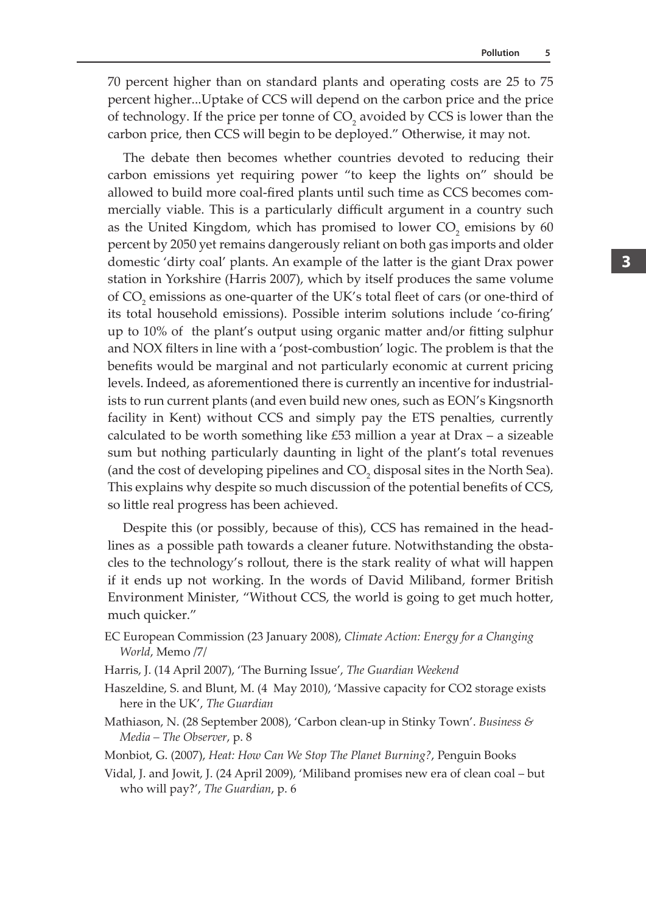70 percent higher than on standard plants and operating costs are 25 to 75 percent higher...Uptake of CCS will depend on the carbon price and the price of technology. If the price per tonne of  $CO_2$  avoided by CCS is lower than the carbon price, then CCS will begin to be deployed." Otherwise, it may not.

The debate then becomes whether countries devoted to reducing their carbon emissions yet requiring power "to keep the lights on" should be allowed to build more coal-fired plants until such time as CCS becomes commercially viable. This is a particularly difficult argument in a country such as the United Kingdom, which has promised to lower  $CO_2$  emisions by 60 percent by 2050 yet remains dangerously reliant on both gas imports and older domestic 'dirty coal' plants. An example of the latter is the giant Drax power station in Yorkshire (Harris 2007), which by itself produces the same volume of  $CO_2$  emissions as one-quarter of the UK's total fleet of cars (or one-third of its total household emissions). Possible interim solutions include 'co-firing' up to 10% of the plant's output using organic matter and/or fitting sulphur and NOX filters in line with a 'post-combustion' logic. The problem is that the benefits would be marginal and not particularly economic at current pricing levels. Indeed, as aforementioned there is currently an incentive for industrialists to run current plants (and even build new ones, such as EON's Kingsnorth facility in Kent) without CCS and simply pay the ETS penalties, currently calculated to be worth something like £53 million a year at Drax – a sizeable sum but nothing particularly daunting in light of the plant's total revenues (and the cost of developing pipelines and  $CO<sub>2</sub>$  disposal sites in the North Sea). This explains why despite so much discussion of the potential benefits of CCS, so little real progress has been achieved.

Despite this (or possibly, because of this), CCS has remained in the headlines as a possible path towards a cleaner future. Notwithstanding the obstacles to the technology's rollout, there is the stark reality of what will happen if it ends up not working. In the words of David Miliband, former British Environment Minister, "Without CCS, the world is going to get much hotter, much quicker."

- EC European Commission (23 January 2008), *Climate Action: Energy for a Changing World*, Memo /7/
- Harris, J. (14 April 2007), 'The Burning Issue', *The Guardian Weekend*
- Haszeldine, S. and Blunt, M. (4 May 2010), 'Massive capacity for CO2 storage exists here in the UK', *The Guardian*
- Mathiason, N. (28 September 2008), 'Carbon clean-up in Stinky Town'. *Business & Media – The Observer*, p. 8

Monbiot, G. (2007), *Heat: How Can We Stop The Planet Burning?*, Penguin Books

Vidal, J. and Jowit, J. (24 April 2009), 'Miliband promises new era of clean coal – but who will pay?', *The Guardian*, p. 6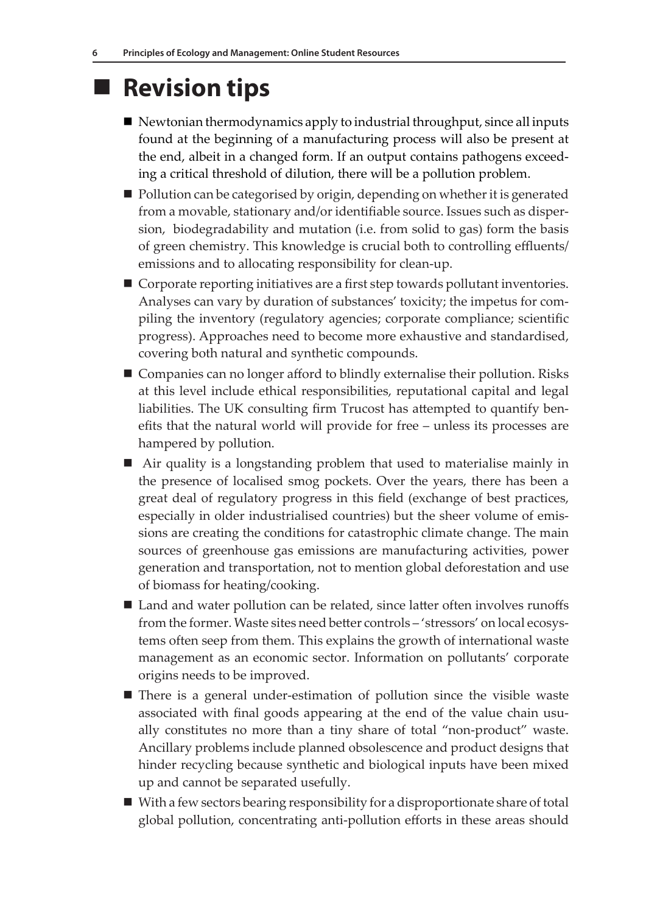# ■ Revision tips

- $\blacksquare$  Newtonian thermodynamics apply to industrial throughput, since all inputs found at the beginning of a manufacturing process will also be present at the end, albeit in a changed form. If an output contains pathogens exceeding a critical threshold of dilution, there will be a pollution problem.
- $\blacksquare$  Pollution can be categorised by origin, depending on whether it is generated from a movable, stationary and/or identifiable source. Issues such as dispersion, biodegradability and mutation (i.e. from solid to gas) form the basis of green chemistry. This knowledge is crucial both to controlling effluents/ emissions and to allocating responsibility for clean-up.
- Corporate reporting initiatives are a first step towards pollutant inventories. Analyses can vary by duration of substances' toxicity; the impetus for compiling the inventory (regulatory agencies; corporate compliance; scientific progress). Approaches need to become more exhaustive and standardised, covering both natural and synthetic compounds.
- Companies can no longer afford to blindly externalise their pollution. Risks at this level include ethical responsibilities, reputational capital and legal liabilities. The UK consulting firm Trucost has attempted to quantify benefits that the natural world will provide for free – unless its processes are hampered by pollution.
- Air quality is a longstanding problem that used to materialise mainly in the presence of localised smog pockets. Over the years, there has been a great deal of regulatory progress in this field (exchange of best practices, especially in older industrialised countries) but the sheer volume of emissions are creating the conditions for catastrophic climate change. The main sources of greenhouse gas emissions are manufacturing activities, power generation and transportation, not to mention global deforestation and use of biomass for heating/cooking.
- Land and water pollution can be related, since latter often involves runoffs from the former. Waste sites need better controls – 'stressors' on local ecosystems often seep from them. This explains the growth of international waste management as an economic sector. Information on pollutants' corporate origins needs to be improved.
- There is a general under-estimation of pollution since the visible waste associated with final goods appearing at the end of the value chain usually constitutes no more than a tiny share of total "non-product" waste. Ancillary problems include planned obsolescence and product designs that hinder recycling because synthetic and biological inputs have been mixed up and cannot be separated usefully.
- With a few sectors bearing responsibility for a disproportionate share of total global pollution, concentrating anti-pollution efforts in these areas should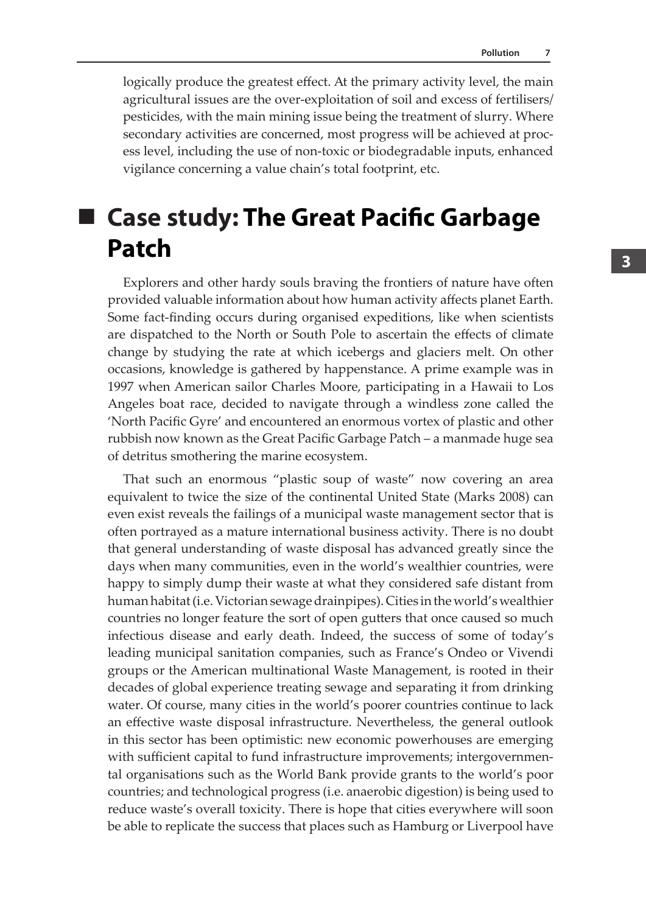logically produce the greatest effect. At the primary activity level, the main agricultural issues are the over-exploitation of soil and excess of fertilisers/ pesticides, with the main mining issue being the treatment of slurry. Where secondary activities are concerned, most progress will be achieved at process level, including the use of non-toxic or biodegradable inputs, enhanced vigilance concerning a value chain's total footprint, etc.

# **Case study: The Great Pacific Garbage Patch**

Explorers and other hardy souls braving the frontiers of nature have often provided valuable information about how human activity affects planet Earth. Some fact-finding occurs during organised expeditions, like when scientists are dispatched to the North or South Pole to ascertain the effects of climate change by studying the rate at which icebergs and glaciers melt. On other occasions, knowledge is gathered by happenstance. A prime example was in 1997 when American sailor Charles Moore, participating in a Hawaii to Los Angeles boat race, decided to navigate through a windless zone called the 'North Pacific Gyre' and encountered an enormous vortex of plastic and other rubbish now known as the Great Pacific Garbage Patch – a manmade huge sea of detritus smothering the marine ecosystem.

That such an enormous "plastic soup of waste" now covering an area equivalent to twice the size of the continental United State (Marks 2008) can even exist reveals the failings of a municipal waste management sector that is often portrayed as a mature international business activity. There is no doubt that general understanding of waste disposal has advanced greatly since the days when many communities, even in the world's wealthier countries, were happy to simply dump their waste at what they considered safe distant from human habitat (i.e. Victorian sewage drainpipes). Cities in the world's wealthier countries no longer feature the sort of open gutters that once caused so much infectious disease and early death. Indeed, the success of some of today's leading municipal sanitation companies, such as France's Ondeo or Vivendi groups or the American multinational Waste Management, is rooted in their decades of global experience treating sewage and separating it from drinking water. Of course, many cities in the world's poorer countries continue to lack an effective waste disposal infrastructure. Nevertheless, the general outlook in this sector has been optimistic: new economic powerhouses are emerging with sufficient capital to fund infrastructure improvements; intergovernmental organisations such as the World Bank provide grants to the world's poor countries; and technological progress (i.e. anaerobic digestion) is being used to reduce waste's overall toxicity. There is hope that cities everywhere will soon be able to replicate the success that places such as Hamburg or Liverpool have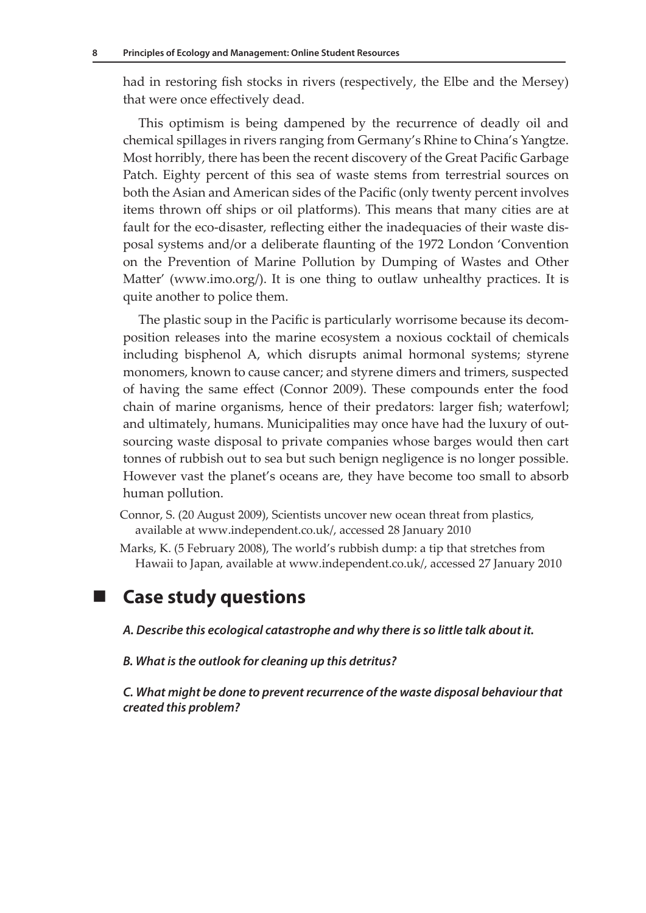had in restoring fish stocks in rivers (respectively, the Elbe and the Mersey) that were once effectively dead.

This optimism is being dampened by the recurrence of deadly oil and chemical spillages in rivers ranging from Germany's Rhine to China's Yangtze. Most horribly, there has been the recent discovery of the Great Pacific Garbage Patch. Eighty percent of this sea of waste stems from terrestrial sources on both the Asian and American sides of the Pacific (only twenty percent involves items thrown off ships or oil platforms). This means that many cities are at fault for the eco-disaster, reflecting either the inadequacies of their waste disposal systems and/or a deliberate flaunting of the 1972 London 'Convention on the Prevention of Marine Pollution by Dumping of Wastes and Other Matter' (www.imo.org/). It is one thing to outlaw unhealthy practices. It is quite another to police them.

The plastic soup in the Pacific is particularly worrisome because its decomposition releases into the marine ecosystem a noxious cocktail of chemicals including bisphenol A, which disrupts animal hormonal systems; styrene monomers, known to cause cancer; and styrene dimers and trimers, suspected of having the same effect (Connor 2009). These compounds enter the food chain of marine organisms, hence of their predators: larger fish; waterfowl; and ultimately, humans. Municipalities may once have had the luxury of outsourcing waste disposal to private companies whose barges would then cart tonnes of rubbish out to sea but such benign negligence is no longer possible. However vast the planet's oceans are, they have become too small to absorb human pollution.

- Connor, S. (20 August 2009), Scientists uncover new ocean threat from plastics, available at www.independent.co.uk/, accessed 28 January 2010
- Marks, K. (5 February 2008), The world's rubbish dump: a tip that stretches from Hawaii to Japan, available at www.independent.co.uk/, accessed 27 January 2010

#### **Case study questions**

- *A. Describe this ecological catastrophe and why there is so little talk about it.*
- *B. What is the outlook for cleaning up this detritus?*

*C. What might be done to prevent recurrence of the waste disposal behaviour that created this problem?*